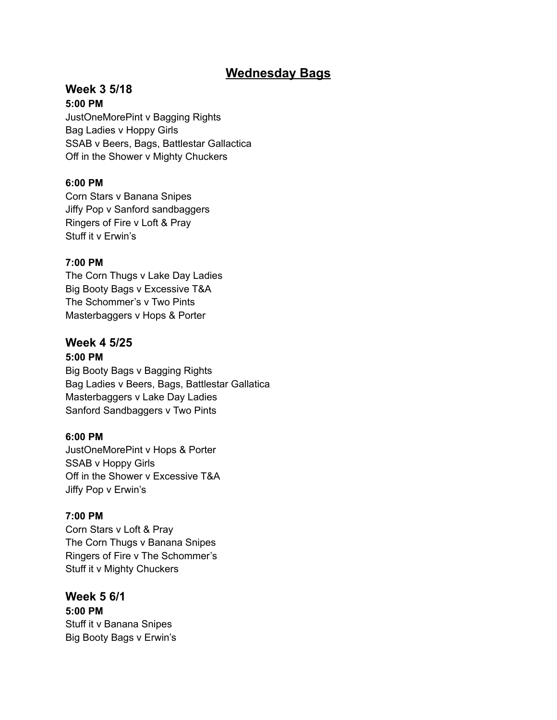## **Wednesday Bags**

# **Week 3 5/18**

**5:00 PM** JustOneMorePint v Bagging Rights Bag Ladies v Hoppy Girls SSAB v Beers, Bags, Battlestar Gallactica Off in the Shower v Mighty Chuckers

## **6:00 PM**

Corn Stars v Banana Snipes Jiffy Pop v Sanford sandbaggers Ringers of Fire v Loft & Pray Stuff it v Erwin's

## **7:00 PM**

The Corn Thugs v Lake Day Ladies Big Booty Bags v Excessive T&A The Schommer's v Two Pints Masterbaggers v Hops & Porter

# **Week 4 5/25**

## **5:00 PM**

Big Booty Bags v Bagging Rights Bag Ladies v Beers, Bags, Battlestar Gallatica Masterbaggers v Lake Day Ladies Sanford Sandbaggers v Two Pints

## **6:00 PM**

JustOneMorePint v Hops & Porter SSAB v Hoppy Girls Off in the Shower v Excessive T&A Jiffy Pop v Erwin's

## **7:00 PM**

Corn Stars v Loft & Pray The Corn Thugs v Banana Snipes Ringers of Fire v The Schommer's Stuff it v Mighty Chuckers

**Week 5 6/1 5:00 PM** Stuff it v Banana Snipes Big Booty Bags v Erwin's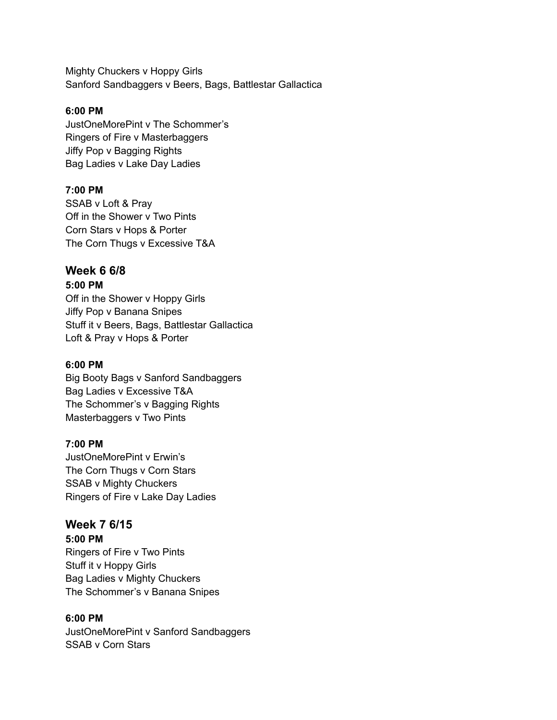Mighty Chuckers v Hoppy Girls Sanford Sandbaggers v Beers, Bags, Battlestar Gallactica

#### **6:00 PM**

JustOneMorePint v The Schommer's Ringers of Fire v Masterbaggers Jiffy Pop v Bagging Rights Bag Ladies v Lake Day Ladies

#### **7:00 PM**

SSAB v Loft & Pray Off in the Shower v Two Pints Corn Stars v Hops & Porter The Corn Thugs v Excessive T&A

## **Week 6 6/8**

**5:00 PM**

Off in the Shower v Hoppy Girls Jiffy Pop v Banana Snipes Stuff it v Beers, Bags, Battlestar Gallactica Loft & Pray v Hops & Porter

#### **6:00 PM**

Big Booty Bags v Sanford Sandbaggers Bag Ladies v Excessive T&A The Schommer's v Bagging Rights Masterbaggers v Two Pints

#### **7:00 PM**

JustOneMorePint v Erwin's The Corn Thugs v Corn Stars SSAB v Mighty Chuckers Ringers of Fire v Lake Day Ladies

## **Week 7 6/15**

**5:00 PM**

Ringers of Fire v Two Pints Stuff it v Hoppy Girls Bag Ladies v Mighty Chuckers The Schommer's v Banana Snipes

#### **6:00 PM**

JustOneMorePint v Sanford Sandbaggers SSAB v Corn Stars